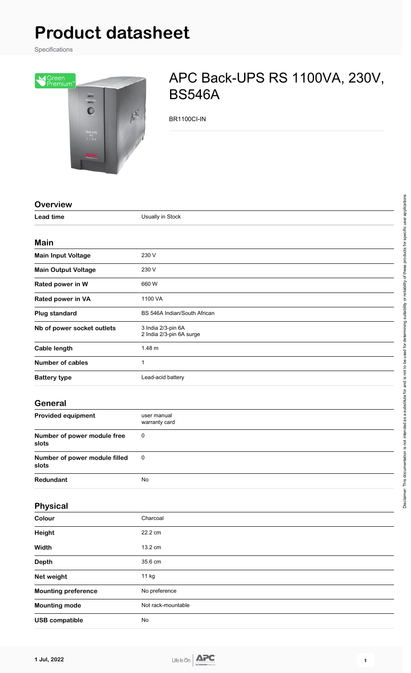# **Product datasheet**

Specifications



# APC Back-UPS RS 1100VA, 230V, BS546A

BR1100CI-IN

| <b>Overview</b>                        |                                                |
|----------------------------------------|------------------------------------------------|
| <b>Lead time</b>                       | Usually in Stock                               |
|                                        |                                                |
| <b>Main</b>                            |                                                |
| <b>Main Input Voltage</b>              | 230 V                                          |
| <b>Main Output Voltage</b>             | 230 V                                          |
| Rated power in W                       | 660 W                                          |
| Rated power in VA                      | 1100 VA                                        |
| <b>Plug standard</b>                   | BS 546A Indian/South African                   |
| Nb of power socket outlets             | 3 India 2/3-pin 6A<br>2 India 2/3-pin 6A surge |
| <b>Cable length</b>                    | 1.48 m                                         |
| <b>Number of cables</b>                | $\mathbf{1}$                                   |
| <b>Battery type</b>                    | Lead-acid battery                              |
| <b>General</b>                         |                                                |
| <b>Provided equipment</b>              | user manual<br>warranty card                   |
| Number of power module free<br>slots   | 0                                              |
| Number of power module filled<br>slots | $\pmb{0}$                                      |
| Redundant                              | No                                             |
| Physical                               |                                                |
| Colour                                 | Charcoal                                       |
| <b>Height</b>                          | 22.2 cm                                        |
| Width                                  | 13.2 cm                                        |
| Depth                                  | 35.6 cm                                        |
| Net weight                             | 11 kg                                          |
| <b>Mounting preference</b>             | No preference                                  |
| <b>Mounting mode</b>                   | Not rack-mountable                             |
| <b>USB compatible</b>                  | No                                             |

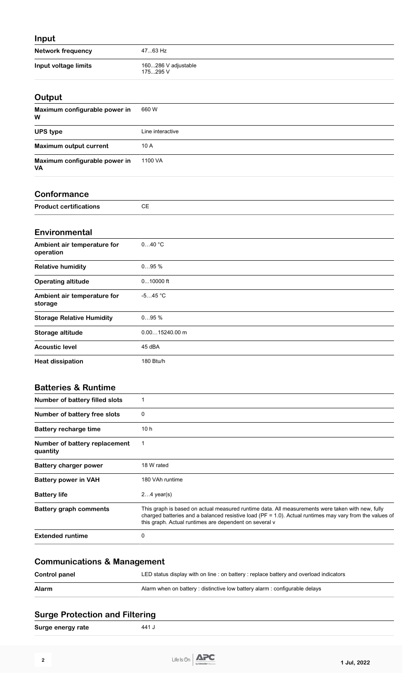# **Input**

| <b>Network frequency</b> | 4763 Hz                         |
|--------------------------|---------------------------------|
| Input voltage limits     | 160286 V adjustable<br>175295 V |

#### **Output**

| Maximum configurable power in<br>W         | 660 W            |
|--------------------------------------------|------------------|
| <b>UPS type</b>                            | Line interactive |
| Maximum output current                     | 10 A             |
| Maximum configurable power in<br><b>VA</b> | 1100 VA          |

#### **Conformance**

| Dro<br>. | $\sim$ |
|----------|--------|
|          |        |

#### **Environmental**

| Ambient air temperature for<br>operation | 040 °C           |
|------------------------------------------|------------------|
| <b>Relative humidity</b>                 | 095%             |
| <b>Operating altitude</b>                | $010000$ ft      |
| Ambient air temperature for<br>storage   | $-545 °C$        |
| <b>Storage Relative Humidity</b>         | 095%             |
| Storage altitude                         | $0.0015240.00$ m |
| <b>Acoustic level</b>                    | 45 dBA           |
| <b>Heat dissipation</b>                  | 180 Btu/h        |

#### **Batteries & Runtime**

| Number of battery filled slots            |                                                                                                                                                                                                                                                                           |
|-------------------------------------------|---------------------------------------------------------------------------------------------------------------------------------------------------------------------------------------------------------------------------------------------------------------------------|
| Number of battery free slots              | 0                                                                                                                                                                                                                                                                         |
| Battery recharge time                     | 10h                                                                                                                                                                                                                                                                       |
| Number of battery replacement<br>quantity | 1                                                                                                                                                                                                                                                                         |
| <b>Battery charger power</b>              | 18 W rated                                                                                                                                                                                                                                                                |
| <b>Battery power in VAH</b>               | 180 VAh runtime                                                                                                                                                                                                                                                           |
| <b>Battery life</b>                       | $24$ year(s)                                                                                                                                                                                                                                                              |
| <b>Battery graph comments</b>             | This graph is based on actual measured runtime data. All measurements were taken with new, fully<br>charged batteries and a balanced resistive load ( $PF = 1.0$ ). Actual runtimes may vary from the values of<br>this graph. Actual runtimes are dependent on several v |
| <b>Extended runtime</b>                   | 0                                                                                                                                                                                                                                                                         |

| Control panel | LED status display with on line : on battery : replace battery and overload indicators |
|---------------|----------------------------------------------------------------------------------------|
| Alarm         | Alarm when on battery: distinctive low battery alarm: configurable delays              |

## **Surge Protection and Filtering**

| Surge energy rate | 441 J |
|-------------------|-------|
|                   |       |